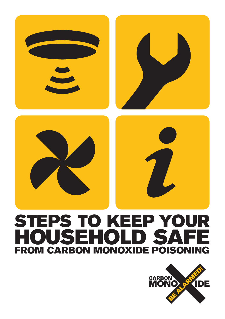

# STEPS TO KEEP YOUR HOUSEHOLD SAFE FROM CARBON MONOXIDE POISONING

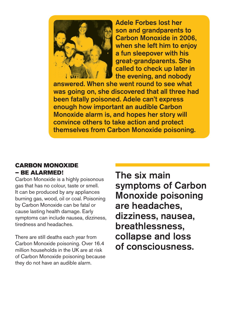

Adele Forbes lost her son and grandparents to Carbon Monoxide in 2006, when she left him to enjoy a fun sleepover with his great-grandparents. She called to check up later in the evening, and nobody

answered. When she went round to see what was going on, she discovered that all three had been fatally poisoned. Adele can't express enough how important an audible Carbon Monoxide alarm is, and hopes her story will convince others to take action and protect themselves from Carbon Monoxide poisoning.

# CARBON MONOXIDE – BE ALARMED!

Carbon Monoxide is a highly poisonous gas that has no colour, taste or smell. It can be produced by any appliances burning gas, wood, oil or coal. Poisoning by Carbon Monoxide can be fatal or cause lasting health damage. Early symptoms can include nausea, dizziness, tiredness and headaches.

There are still deaths each year from Carbon Monoxide poisoning. Over 16.4 million households in the UK are at risk of Carbon Monoxide poisoning because they do not have an audible alarm.

The six main symptoms of Carbon Monoxide poisoning are headaches, dizziness, nausea, breathlessness, collapse and loss of consciousness.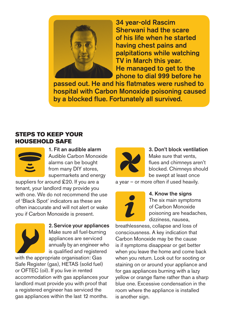

34 year-old Rascim Sherwani had the scare of his life when he started having chest pains and palpitations while watching TV in March this year. He managed to get to the phone to dial 999 before he

passed out. He and his flatmates were rushed to hospital with Carbon Monoxide poisoning caused by a blocked flue. Fortunately all survived.

# STEPS TO KEEP YOUR HOUSEHOLD SAFE



1. Fit an audible alarm Audible Carbon Monoxide alarms can be bought from many DIY stores, supermarkets and energy

suppliers for around £20. If you are a tenant, your landlord may provide you with one. We do not recommend the use of 'Black Spot' indicators as these are often inaccurate and will not alert or wake you if Carbon Monoxide is present.



2. Service your appliances Make sure all fuel-burning appliances are serviced annually by an engineer who is qualified and registered

with the appropriate organisation: Gas Safe Register (gas), HETAS (solid fuel) or OFTEC (oil). If you live in rented accommodation with gas appliances your landlord must provide you with proof that a registered engineer has serviced the gas appliances within the last 12 months.



## 3. Don't block ventilation Make sure that vents, flues and chimneys aren't blocked. Chimneys should be swept at least once

a year – or more often if used heavily.



# 4. Know the signs

The six main symptoms of Carbon Monoxide poisoning are headaches, dizziness, nausea,

breathlessness, collapse and loss of consciousness. A key indication that Carbon Monoxide may be the cause is if symptoms disappear or get better when you leave the home and come back when you return. Look out for sooting or staining on or around your appliance and for gas appliances burning with a lazy yellow or orange flame rather than a sharp blue one. Excessive condensation in the room where the appliance is installed is another sign.